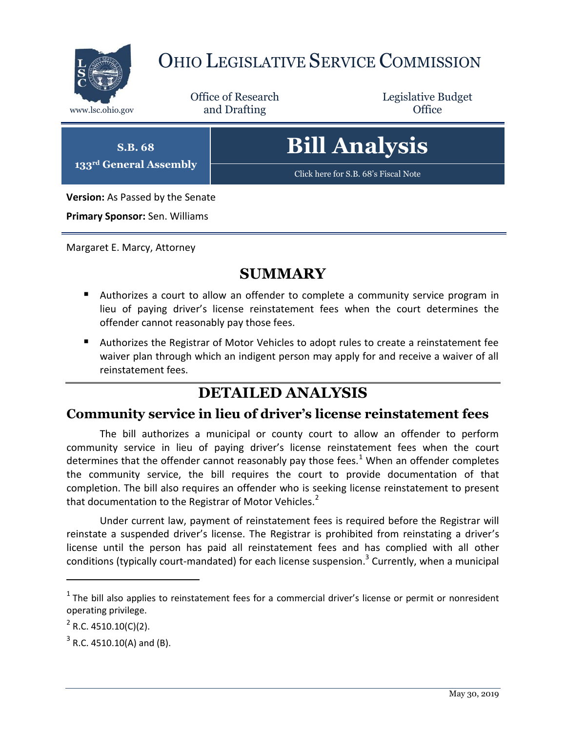

## OHIO LEGISLATIVE SERVICE COMMISSION

Office of Research www.lsc.ohio.gov and Drafting Control of Control of the Control of Control of the Control of Control of the Control of the Control of the Control of the Control of the Control of the Control of the Control of the Control o

Legislative Budget

**S.B. 68 133rd General Assembly**

# **Bill Analysis**

[Click here for S.B. 68's Fiscal Note](https://www.legislature.ohio.gov/legislation/legislation-documents?id=GA133-SB-68)

**Version:** As Passed by the Senate

**Primary Sponsor:** Sen. Williams

Margaret E. Marcy, Attorney

## **SUMMARY**

- Authorizes a court to allow an offender to complete a community service program in lieu of paying driver's license reinstatement fees when the court determines the offender cannot reasonably pay those fees.
- Authorizes the Registrar of Motor Vehicles to adopt rules to create a reinstatement fee waiver plan through which an indigent person may apply for and receive a waiver of all reinstatement fees.

## **DETAILED ANALYSIS**

#### **Community service in lieu of driver's license reinstatement fees**

The bill authorizes a municipal or county court to allow an offender to perform community service in lieu of paying driver's license reinstatement fees when the court determines that the offender cannot reasonably pay those fees.<sup>1</sup> When an offender completes the community service, the bill requires the court to provide documentation of that completion. The bill also requires an offender who is seeking license reinstatement to present that documentation to the Registrar of Motor Vehicles.<sup>2</sup>

Under current law, payment of reinstatement fees is required before the Registrar will reinstate a suspended driver's license. The Registrar is prohibited from reinstating a driver's license until the person has paid all reinstatement fees and has complied with all other conditions (typically court-mandated) for each license suspension.<sup>3</sup> Currently, when a municipal

 $\overline{a}$ 

 $<sup>1</sup>$  The bill also applies to reinstatement fees for a commercial driver's license or permit or nonresident</sup> operating privilege.

 $2^2$  R.C. 4510.10(C)(2).

 $3$  R.C. 4510.10(A) and (B).